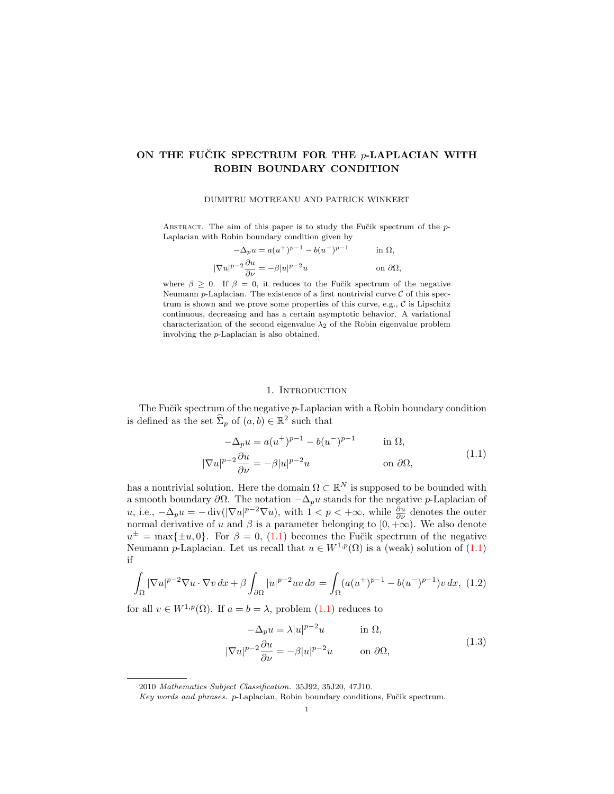## ON THE FUCIK SPECTRUM FOR THE  $p$ -LAPLACIAN WITH ROBIN BOUNDARY CONDITION

#### DUMITRU MOTREANU AND PATRICK WINKERT

ABSTRACT. The aim of this paper is to study the Fučik spectrum of the  $p$ -Laplacian with Robin boundary condition given by

$$
-\Delta_p u = a(u^+)^{p-1} - b(u^-)^{p-1} \quad \text{in } \Omega,
$$
  

$$
\nabla u|^{p-2} \frac{\partial u}{\partial \nu} = -\beta |u|^{p-2} u \quad \text{on } \partial \Omega,
$$

 $\|$ 

where  $\beta \geq 0$ . If  $\beta = 0$ , it reduces to the Fučik spectrum of the negative Neumann p-Laplacian. The existence of a first nontrivial curve  $\mathcal C$  of this spectrum is shown and we prove some properties of this curve, e.g.,  $C$  is Lipschitz continuous, decreasing and has a certain asymptotic behavior. A variational characterization of the second eigenvalue  $\lambda_2$  of the Robin eigenvalue problem involving the p-Laplacian is also obtained.

#### <span id="page-0-0"></span>1. INTRODUCTION

<span id="page-0-3"></span>The Fučik spectrum of the negative  $p$ -Laplacian with a Robin boundary condition is defined as the set  $\widehat{\Sigma}_p$  of  $(a, b) \in \mathbb{R}^2$  such that

$$
-\Delta_p u = a(u^+)^{p-1} - b(u^-)^{p-1} \quad \text{in } \Omega,
$$
  

$$
|\nabla u|^{p-2} \frac{\partial u}{\partial \nu} = -\beta |u|^{p-2} u \quad \text{on } \partial \Omega,
$$
 (1.1)

has a nontrivial solution. Here the domain  $\Omega \subset \mathbb{R}^N$  is supposed to be bounded with a smooth boundary  $\partial\Omega$ . The notation  $-\Delta_p u$  stands for the negative p-Laplacian of u, i.e.,  $-\Delta_p u = -\text{div}(|\nabla u|^{p-2} \nabla u)$ , with  $1 < p < +\infty$ , while  $\frac{\partial u}{\partial \nu}$  denotes the outer normal derivative of u and  $\beta$  is a parameter belonging to  $[0, +\infty)$ . We also denote  $u^{\pm} = \max\{\pm u, 0\}$ . For  $\beta = 0$ , [\(1.1\)](#page-0-0) becomes the Fučik spectrum of the negative Neumann p-Laplacian. Let us recall that  $u \in W^{1,p}(\Omega)$  is a (weak) solution of [\(1.1\)](#page-0-0) if

<span id="page-0-2"></span>
$$
\int_{\Omega} |\nabla u|^{p-2} \nabla u \cdot \nabla v \, dx + \beta \int_{\partial \Omega} |u|^{p-2} uv \, d\sigma = \int_{\Omega} (a(u^+)^{p-1} - b(u^-)^{p-1}) v \, dx, \tag{1.2}
$$

for all  $v \in W^{1,p}(\Omega)$ . If  $a = b = \lambda$ , problem  $(1.1)$  reduces to

<span id="page-0-1"></span>
$$
-\Delta_p u = \lambda |u|^{p-2}u \qquad \text{in } \Omega,
$$
  

$$
|\nabla u|^{p-2} \frac{\partial u}{\partial \nu} = -\beta |u|^{p-2}u \qquad \text{on } \partial \Omega,
$$
 (1.3)

<sup>2010</sup> Mathematics Subject Classification. 35J92, 35J20, 47J10.

Key words and phrases. p-Laplacian, Robin boundary conditions, Fučik spectrum.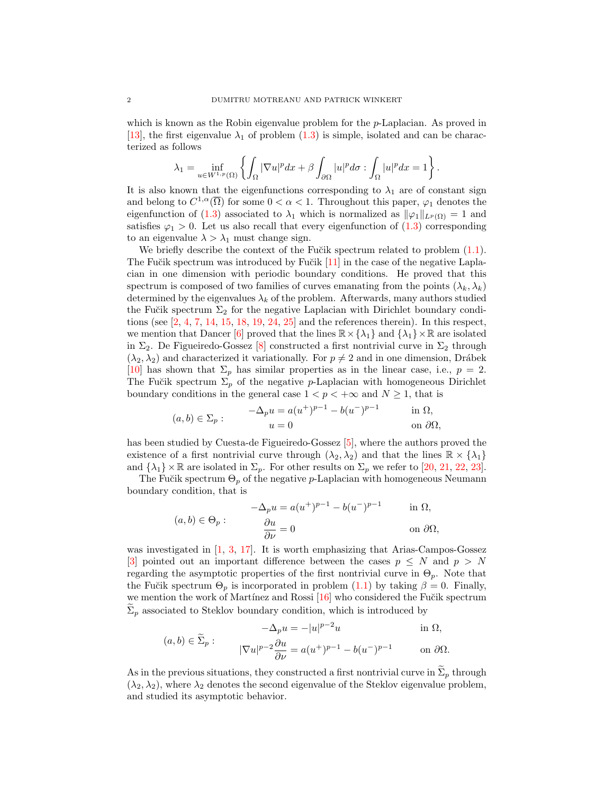which is known as the Robin eigenvalue problem for the  $p$ -Laplacian. As proved in [\[13\]](#page-13-0), the first eigenvalue  $\lambda_1$  of problem [\(1.3\)](#page-0-1) is simple, isolated and can be characterized as follows

$$
\lambda_1 = \inf_{u \in W^{1,p}(\Omega)} \left\{ \int_{\Omega} |\nabla u|^p dx + \beta \int_{\partial \Omega} |u|^p d\sigma : \int_{\Omega} |u|^p dx = 1 \right\}.
$$

It is also known that the eigenfunctions corresponding to  $\lambda_1$  are of constant sign and belong to  $C^{1,\alpha}(\overline{\Omega})$  for some  $0 < \alpha < 1$ . Throughout this paper,  $\varphi_1$  denotes the eigenfunction of [\(1.3\)](#page-0-1) associated to  $\lambda_1$  which is normalized as  $\|\varphi_1\|_{L^p(\Omega)} = 1$  and satisfies  $\varphi_1 > 0$ . Let us also recall that every eigenfunction of  $(1.3)$  corresponding to an eigenvalue  $\lambda > \lambda_1$  must change sign.

We briefly describe the context of the Fu $\ddot{\text{c}}$  is spectrum related to problem  $(1.1)$ . The Fučik spectrum was introduced by Fučik [\[11\]](#page-13-1) in the case of the negative Laplacian in one dimension with periodic boundary conditions. He proved that this spectrum is composed of two families of curves emanating from the points  $(\lambda_k, \lambda_k)$ determined by the eigenvalues  $\lambda_k$  of the problem. Afterwards, many authors studied the Fučik spectrum  $\Sigma_2$  for the negative Laplacian with Dirichlet boundary conditions (see  $[2, 4, 7, 14, 15, 18, 19, 24, 25]$  $[2, 4, 7, 14, 15, 18, 19, 24, 25]$  $[2, 4, 7, 14, 15, 18, 19, 24, 25]$  $[2, 4, 7, 14, 15, 18, 19, 24, 25]$  $[2, 4, 7, 14, 15, 18, 19, 24, 25]$  $[2, 4, 7, 14, 15, 18, 19, 24, 25]$  $[2, 4, 7, 14, 15, 18, 19, 24, 25]$  $[2, 4, 7, 14, 15, 18, 19, 24, 25]$  $[2, 4, 7, 14, 15, 18, 19, 24, 25]$  $[2, 4, 7, 14, 15, 18, 19, 24, 25]$  $[2, 4, 7, 14, 15, 18, 19, 24, 25]$  $[2, 4, 7, 14, 15, 18, 19, 24, 25]$  $[2, 4, 7, 14, 15, 18, 19, 24, 25]$  $[2, 4, 7, 14, 15, 18, 19, 24, 25]$  $[2, 4, 7, 14, 15, 18, 19, 24, 25]$  $[2, 4, 7, 14, 15, 18, 19, 24, 25]$  and the references therein). In this respect, we mention that Dancer [\[6\]](#page-13-8) proved that the lines  $\mathbb{R} \times {\{\lambda_1\}}$  and  ${\{\lambda_1\}} \times \mathbb{R}$  are isolated in  $\Sigma_2$ . De Figueiredo-Gossez [\[8\]](#page-13-9) constructed a first nontrivial curve in  $\Sigma_2$  through  $(\lambda_2, \lambda_2)$  and characterized it variationally. For  $p \neq 2$  and in one dimension, Drábek [\[10\]](#page-13-10) has shown that  $\Sigma_p$  has similar properties as in the linear case, i.e.,  $p = 2$ . The Fučik spectrum  $\Sigma_p$  of the negative p-Laplacian with homogeneous Dirichlet boundary conditions in the general case  $1 < p < +\infty$  and  $N \ge 1$ , that is

$$
(a,b) \in \Sigma_p: \qquad \begin{aligned}\n-\Delta_p u &= a(u^+)^{p-1} - b(u^-)^{p-1} \\
u &= 0\n\end{aligned}\n\qquad \text{in } \Omega,
$$
\non  $\partial\Omega$ ,

has been studied by Cuesta-de Figueiredo-Gossez [\[5\]](#page-13-11), where the authors proved the existence of a first nontrivial curve through  $(\lambda_2, \lambda_2)$  and that the lines  $\mathbb{R} \times {\lambda_1}$ and  $\{\lambda_1\} \times \mathbb{R}$  are isolated in  $\Sigma_p$ . For other results on  $\Sigma_p$  we refer to [\[20,](#page-14-3) [21,](#page-14-4) [22,](#page-14-5) [23\]](#page-14-6).

The Fučik spectrum  $\Theta_p$  of the negative p-Laplacian with homogeneous Neumann boundary condition, that is

$$
(a,b) \in \Theta_p: \qquad \begin{aligned}\n-\Delta_p u &= a(u^+)^{p-1} - b(u^-)^{p-1} & \text{in } \Omega, \\
\frac{\partial u}{\partial \nu} &= 0 & \text{on } \partial \Omega,\n\end{aligned}
$$

was investigated in  $\left[1, 3, 17\right]$  $\left[1, 3, 17\right]$  $\left[1, 3, 17\right]$ . It is worth emphasizing that Arias-Campos-Gossez [\[3\]](#page-13-13) pointed out an important difference between the cases  $p \leq N$  and  $p > N$ regarding the asymptotic properties of the first nontrivial curve in  $\Theta_p$ . Note that the Fučik spectrum  $\Theta_p$  is incorporated in problem [\(1.1\)](#page-0-0) by taking  $\beta = 0$ . Finally, we mention the work of Martínez and Rossi  $[16]$  who considered the Fučik spectrum  $\Sigma_p$  associated to Steklov boundary condition, which is introduced by

$$
-\Delta_p u = -|u|^{p-2}u \qquad \text{in } \Omega,
$$
  

$$
(a, b) \in \widetilde{\Sigma}_p: \qquad |\nabla u|^{p-2}\frac{\partial u}{\partial \nu} = a(u^+)^{p-1} - b(u^-)^{p-1} \qquad \text{on } \partial \Omega.
$$

As in the previous situations, they constructed a first nontrivial curve in  $\Sigma_p$  through  $(\lambda_2, \lambda_2)$ , where  $\lambda_2$  denotes the second eigenvalue of the Steklov eigenvalue problem, and studied its asymptotic behavior.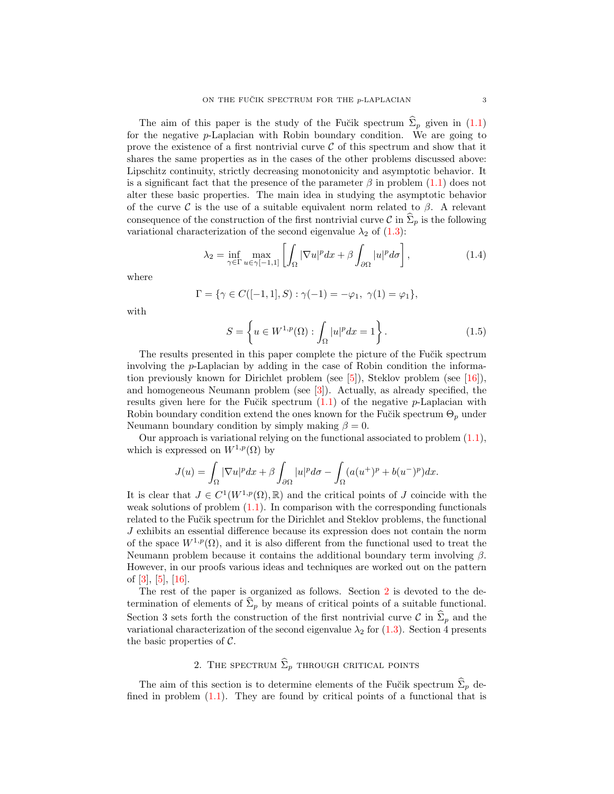The aim of this paper is the study of the Fučik spectrum  $\hat{\Sigma}_p$  given in [\(1.1\)](#page-0-0) for the negative p-Laplacian with Robin boundary condition. We are going to prove the existence of a first nontrivial curve  $\mathcal C$  of this spectrum and show that it shares the same properties as in the cases of the other problems discussed above: Lipschitz continuity, strictly decreasing monotonicity and asymptotic behavior. It is a significant fact that the presence of the parameter  $\beta$  in problem [\(1.1\)](#page-0-0) does not alter these basic properties. The main idea in studying the asymptotic behavior of the curve C is the use of a suitable equivalent norm related to  $\beta$ . A relevant consequence of the construction of the first nontrivial curve C in  $\hat{\Sigma}_p$  is the following variational characterization of the second eigenvalue  $\lambda_2$  of [\(1.3\)](#page-0-1):

$$
\lambda_2 = \inf_{\gamma \in \Gamma} \max_{u \in \gamma[-1,1]} \left[ \int_{\Omega} |\nabla u|^p dx + \beta \int_{\partial \Omega} |u|^p d\sigma \right],\tag{1.4}
$$

where

$$
\Gamma = \{ \gamma \in C([-1, 1], S) : \gamma(-1) = -\varphi_1, \ \gamma(1) = \varphi_1 \},
$$

with

<span id="page-2-2"></span><span id="page-2-1"></span>
$$
S = \left\{ u \in W^{1,p}(\Omega) : \int_{\Omega} |u|^p dx = 1 \right\}.
$$
 (1.5)

The results presented in this paper complete the picture of the Fu $\ddot{\text{c}}$  is spectrum involving the p-Laplacian by adding in the case of Robin condition the informa-tion previously known for Dirichlet problem (see [\[5\]](#page-13-11)), Steklov problem (see [\[16\]](#page-13-15)), and homogeneous Neumann problem (see [\[3\]](#page-13-13)). Actually, as already specified, the results given here for the Fučik spectrum  $(1.1)$  of the negative p-Laplacian with Robin boundary condition extend the ones known for the Fu $\check{c}$ ik spectrum  $\Theta_p$  under Neumann boundary condition by simply making  $\beta = 0$ .

Our approach is variational relying on the functional associated to problem  $(1.1)$ , which is expressed on  $W^{1,p}(\Omega)$  by

$$
J(u) = \int_{\Omega} |\nabla u|^p dx + \beta \int_{\partial \Omega} |u|^p d\sigma - \int_{\Omega} (a(u^+)^p + b(u^-)^p) dx.
$$

It is clear that  $J \in C^1(W^{1,p}(\Omega), \mathbb{R})$  and the critical points of J coincide with the weak solutions of problem  $(1.1)$ . In comparison with the corresponding functionals related to the Fu $\ddot{\text{c}}$  is spectrum for the Dirichlet and Steklov problems, the functional J exhibits an essential difference because its expression does not contain the norm of the space  $W^{1,p}(\Omega)$ , and it is also different from the functional used to treat the Neumann problem because it contains the additional boundary term involving  $\beta$ . However, in our proofs various ideas and techniques are worked out on the pattern of [\[3\]](#page-13-13), [\[5\]](#page-13-11), [\[16\]](#page-13-15).

The rest of the paper is organized as follows. Section [2](#page-2-0) is devoted to the determination of elements of  $\hat{\Sigma}_p$  by means of critical points of a suitable functional. Section 3 sets forth the construction of the first nontrivial curve C in  $\hat{\Sigma}_p$  and the variational characterization of the second eigenvalue  $\lambda_2$  for [\(1.3\)](#page-0-1). Section 4 presents the basic properties of  $\mathcal{C}$ .

# 2. THE SPECTRUM  $\widehat{\Sigma}_p$  through critical points

<span id="page-2-0"></span>The aim of this section is to determine elements of the Fučik spectrum  $\Sigma_p$  defined in problem  $(1.1)$ . They are found by critical points of a functional that is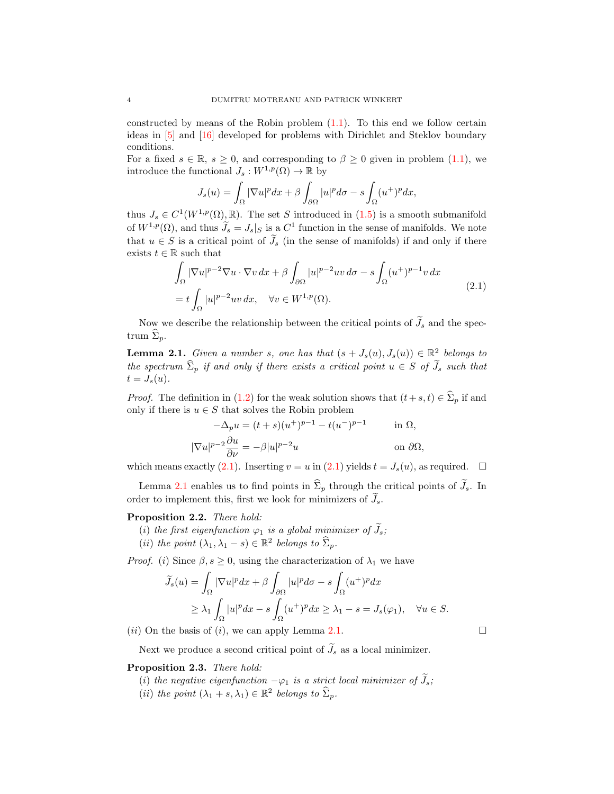constructed by means of the Robin problem [\(1.1\)](#page-0-0). To this end we follow certain ideas in [\[5\]](#page-13-11) and [\[16\]](#page-13-15) developed for problems with Dirichlet and Steklov boundary conditions.

For a fixed  $s \in \mathbb{R}$ ,  $s \geq 0$ , and corresponding to  $\beta \geq 0$  given in problem [\(1.1\)](#page-0-0), we introduce the functional  $J_s: W^{1,p}(\Omega) \to \mathbb{R}$  by

<span id="page-3-0"></span>
$$
J_s(u) = \int_{\Omega} |\nabla u|^p dx + \beta \int_{\partial \Omega} |u|^p d\sigma - s \int_{\Omega} (u^+)^p dx,
$$

thus  $J_s \in C^1(W^{1,p}(\Omega), \mathbb{R})$ . The set S introduced in  $(1.5)$  is a smooth submanifold of  $W^{1,p}(\Omega)$ , and thus  $\tilde{J}_s = J_s|_S$  is a  $C^1$  function in the sense of manifolds. We note that  $u \in S$  is a critical point of  $\tilde{J}_s$  (in the sense of manifolds) if and only if there exists  $t \in \mathbb{R}$  such that

$$
\int_{\Omega} |\nabla u|^{p-2} \nabla u \cdot \nabla v \, dx + \beta \int_{\partial \Omega} |u|^{p-2} uv \, d\sigma - s \int_{\Omega} (u^+)^{p-1} v \, dx
$$
\n
$$
= t \int_{\Omega} |u|^{p-2} uv \, dx, \quad \forall v \in W^{1,p}(\Omega).
$$
\n(2.1)

Now we describe the relationship between the critical points of  $\widetilde{J}_s$  and the spectrum  $\hat{\Sigma}_p$ .

<span id="page-3-1"></span>**Lemma 2.1.** Given a number s, one has that  $(s + J_s(u), J_s(u)) \in \mathbb{R}^2$  belongs to the spectrum  $\hat{\Sigma}_p$  if and only if there exists a critical point  $u \in S$  of  $\widetilde{J}_s$  such that  $t = J_s(u)$ .

*Proof.* The definition in [\(1.2\)](#page-0-2) for the weak solution shows that  $(t+s, t) \in \hat{\Sigma}_p$  if and only if there is  $u \in S$  that solves the Robin problem

$$
-\Delta_p u = (t+s)(u^+)^{p-1} - t(u^-)^{p-1} \quad \text{in } \Omega,
$$
  

$$
|\nabla u|^{p-2} \frac{\partial u}{\partial \nu} = -\beta |u|^{p-2} u \quad \text{on } \partial \Omega,
$$

which means exactly [\(2.1\)](#page-3-0). Inserting  $v = u$  in (2.1) yields  $t = J_s(u)$ , as required.  $\Box$ 

Lemma [2.1](#page-3-1) enables us to find points in  $\hat{\Sigma}_p$  through the critical points of  $\tilde{J}_s$ . In order to implement this, first we look for minimizers of  $\widetilde{J}_s$ .

#### <span id="page-3-2"></span>Proposition 2.2. There hold:

- (i) the first eigenfunction  $\varphi_1$  is a global minimizer of  $\tilde{J}_s$ ;
- (*ii*) the point  $(\lambda_1, \lambda_1 s) \in \mathbb{R}^2$  belongs to  $\widehat{\Sigma}_p$ .

*Proof.* (i) Since  $\beta$ ,  $s \geq 0$ , using the characterization of  $\lambda_1$  we have

$$
\widetilde{J}_s(u) = \int_{\Omega} |\nabla u|^p dx + \beta \int_{\partial \Omega} |u|^p d\sigma - s \int_{\Omega} (u^+)^p dx
$$
  
\n
$$
\geq \lambda_1 \int_{\Omega} |u|^p dx - s \int_{\Omega} (u^+)^p dx \geq \lambda_1 - s = J_s(\varphi_1), \quad \forall u \in S.
$$

(*ii*) On the basis of (*i*), we can apply Lemma [2.1.](#page-3-1)

Next we produce a second critical point of  $\widetilde{J}_s$  as a local minimizer.

### <span id="page-3-3"></span>Proposition 2.3. There hold:

- (i) the negative eigenfunction  $-\varphi_1$  is a strict local minimizer of  $J_s$ ;
- (*ii*) the point  $(\lambda_1 + s, \lambda_1) \in \mathbb{R}^2$  belongs to  $\widehat{\Sigma}_p$ .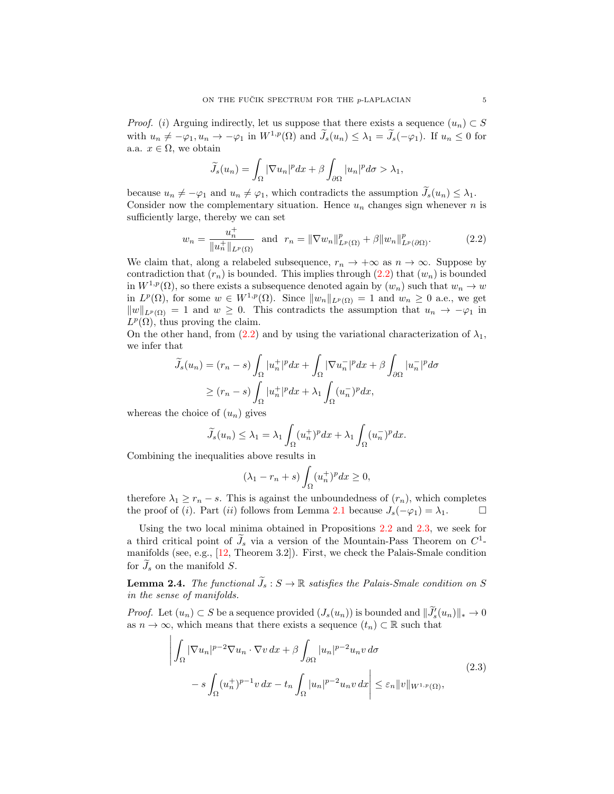*Proof.* (i) Arguing indirectly, let us suppose that there exists a sequence  $(u_n) \subset S$ with  $u_n \neq -\varphi_1, u_n \to -\varphi_1$  in  $W^{1,p}(\Omega)$  and  $\widetilde{J}_s(u_n) \leq \lambda_1 = \widetilde{J}_s(-\varphi_1)$ . If  $u_n \leq 0$  for a.a.  $x \in \Omega$ , we obtain

<span id="page-4-0"></span>
$$
\widetilde{J}_s(u_n) = \int_{\Omega} |\nabla u_n|^p dx + \beta \int_{\partial \Omega} |u_n|^p d\sigma > \lambda_1,
$$

because  $u_n \neq -\varphi_1$  and  $u_n \neq \varphi_1$ , which contradicts the assumption  $J_s(u_n) \leq \lambda_1$ . Consider now the complementary situation. Hence  $u_n$  changes sign whenever n is sufficiently large, thereby we can set

$$
w_n = \frac{u_n^+}{\|u_n^+\|_{L^p(\Omega)}} \text{ and } r_n = \|\nabla w_n\|_{L^p(\Omega)}^p + \beta \|w_n\|_{L^p(\partial\Omega)}^p. \tag{2.2}
$$

We claim that, along a relabeled subsequence,  $r_n \to +\infty$  as  $n \to \infty$ . Suppose by contradiction that  $(r_n)$  is bounded. This implies through  $(2.2)$  that  $(w_n)$  is bounded in  $W^{1,p}(\Omega)$ , so there exists a subsequence denoted again by  $(w_n)$  such that  $w_n \to w$ in  $L^p(\Omega)$ , for some  $w \in W^{1,p}(\Omega)$ . Since  $||w_n||_{L^p(\Omega)} = 1$  and  $w_n \geq 0$  a.e., we get  $||w||_{L^p(\Omega)} = 1$  and  $w \geq 0$ . This contradicts the assumption that  $u_n \to -\varphi_1$  in  $L^p(\Omega)$ , thus proving the claim.

On the other hand, from [\(2.2\)](#page-4-0) and by using the variational characterization of  $\lambda_1$ , we infer that

$$
\widetilde{J}_s(u_n) = (r_n - s) \int_{\Omega} |u_n^+|^p dx + \int_{\Omega} |\nabla u_n^-|^p dx + \beta \int_{\partial \Omega} |u_n^-|^p d\sigma
$$

$$
\ge (r_n - s) \int_{\Omega} |u_n^+|^p dx + \lambda_1 \int_{\Omega} (u_n^-)^p dx,
$$

whereas the choice of  $(u_n)$  gives

$$
\widetilde{J}_s(u_n) \leq \lambda_1 = \lambda_1 \int_{\Omega} (u_n^+)^p dx + \lambda_1 \int_{\Omega} (u_n^-)^p dx.
$$

Combining the inequalities above results in

<span id="page-4-1"></span>
$$
(\lambda_1 - r_n + s) \int_{\Omega} (u_n^+)^p dx \ge 0,
$$

therefore  $\lambda_1 \geq r_n - s$ . This is against the unboundedness of  $(r_n)$ , which completes the proof of (*i*). Part (*ii*) follows from Lemma [2.1](#page-3-1) because  $J_s(-\varphi_1) = \lambda_1$ .

Using the two local minima obtained in Propositions [2.2](#page-3-2) and [2.3,](#page-3-3) we seek for a third critical point of  $\tilde{J}_s$  via a version of the Mountain-Pass Theorem on  $C^1$ manifolds (see, e.g., [\[12,](#page-13-16) Theorem 3.2]). First, we check the Palais-Smale condition for  $\widetilde{J}_s$  on the manifold S.

<span id="page-4-2"></span>**Lemma 2.4.** The functional  $\widetilde{J}_s$ :  $S \to \mathbb{R}$  satisfies the Palais-Smale condition on S in the sense of manifolds.

*Proof.* Let  $(u_n) \subset S$  be a sequence provided  $(J_s(u_n))$  is bounded and  $\|\tilde{J}_s'(u_n)\|_* \to 0$ as  $n \to \infty$ , which means that there exists a sequence  $(t_n) \subset \mathbb{R}$  such that

$$
\left| \int_{\Omega} |\nabla u_n|^{p-2} \nabla u_n \cdot \nabla v \, dx + \beta \int_{\partial \Omega} |u_n|^{p-2} u_n v \, d\sigma \right|
$$
  

$$
-s \int_{\Omega} (u_n^+)^{p-1} v \, dx - t_n \int_{\Omega} |u_n|^{p-2} u_n v \, dx \right| \leq \varepsilon_n \|v\|_{W^{1,p}(\Omega)},
$$
  
(2.3)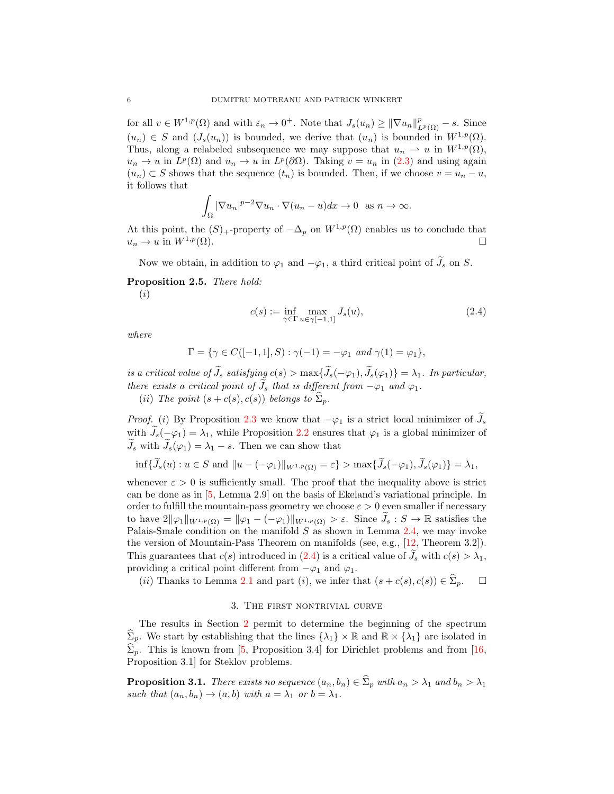for all  $v \in W^{1,p}(\Omega)$  and with  $\varepsilon_n \to 0^+$ . Note that  $J_s(u_n) \geq ||\nabla u_n||^p_{L^p(\Omega)} - s$ . Since  $(u_n) \in S$  and  $(J_s(u_n))$  is bounded, we derive that  $(u_n)$  is bounded in  $W^{1,p}(\Omega)$ . Thus, along a relabeled subsequence we may suppose that  $u_n \rightharpoonup u$  in  $W^{1,p}(\Omega)$ ,  $u_n \to u$  in  $L^p(\Omega)$  and  $u_n \to u$  in  $L^p(\partial\Omega)$ . Taking  $v = u_n$  in [\(2.3\)](#page-4-1) and using again  $(u_n) \subset S$  shows that the sequence  $(t_n)$  is bounded. Then, if we choose  $v = u_n - u$ , it follows that

$$
\int_{\Omega} |\nabla u_n|^{p-2} \nabla u_n \cdot \nabla (u_n - u) dx \to 0 \text{ as } n \to \infty.
$$

At this point, the  $(S)$ <sub>+</sub>-property of  $-\Delta_p$  on  $W^{1,p}(\Omega)$  enables us to conclude that  $u_n \to u$  in  $W^{1,p}(\Omega)$ .

Now we obtain, in addition to  $\varphi_1$  and  $-\varphi_1$ , a third critical point of  $\widetilde{J}_s$  on S.

<span id="page-5-1"></span>Proposition 2.5. There hold:

(i)

<span id="page-5-0"></span>
$$
c(s) := \inf_{\gamma \in \Gamma} \max_{u \in \gamma[-1,1]} J_s(u),\tag{2.4}
$$

where

$$
\Gamma = \{ \gamma \in C([-1, 1], S) : \gamma(-1) = -\varphi_1 \text{ and } \gamma(1) = \varphi_1 \},
$$

is a critical value of  $\widetilde{J}_s$  satisfying  $c(s) > \max{\{\widetilde{J}_s(-\varphi_1), \widetilde{J}_s(\varphi_1)\}} = \lambda_1$ . In particular, there exists a critical point of  $\widetilde{J}_s$  that is different from  $-\varphi_1$  and  $\varphi_1$ .

(ii) The point  $(s + c(s), c(s))$  belongs to  $\widehat{\Sigma}_p$ .

*Proof.* (i) By Proposition [2.3](#page-3-3) we know that  $-\varphi_1$  is a strict local minimizer of  $J_s$ with  $J_s(-\varphi_1) = \lambda_1$ , while Proposition [2.2](#page-3-2) ensures that  $\varphi_1$  is a global minimizer of  $\widetilde{J}_s$  with  $\widetilde{J}_s(\varphi_1) = \lambda_1 - s$ . Then we can show that

$$
\inf \{ \widetilde{J}_s(u) : u \in S \text{ and } ||u - (-\varphi_1)||_{W^{1,p}(\Omega)} = \varepsilon \} > \max \{ \widetilde{J}_s(-\varphi_1), \widetilde{J}_s(\varphi_1) \} = \lambda_1,
$$

whenever  $\varepsilon > 0$  is sufficiently small. The proof that the inequality above is strict can be done as in [\[5,](#page-13-11) Lemma 2.9] on the basis of Ekeland's variational principle. In order to fulfill the mountain-pass geometry we choose  $\varepsilon > 0$  even smaller if necessary to have  $2\|\varphi_1\|_{W^{1,p}(\Omega)} = \|\varphi_1 - (-\varphi_1)\|_{W^{1,p}(\Omega)} > \varepsilon$ . Since  $J_s : S \to \mathbb{R}$  satisfies the Palais-Smale condition on the manifold  $S$  as shown in Lemma [2.4,](#page-4-2) we may invoke the version of Mountain-Pass Theorem on manifolds (see, e.g., [\[12,](#page-13-16) Theorem 3.2]). This guarantees that  $c(s)$  introduced in [\(2.4\)](#page-5-0) is a critical value of  $\tilde{J}_s$  with  $c(s) > \lambda_1$ , providing a critical point different from  $-\varphi_1$  and  $\varphi_1$ .

(ii) Thanks to Lemma [2.1](#page-3-1) and part (i), we infer that  $(s + c(s), c(s)) \in \Sigma_p$ .  $\Box$ 

#### 3. The first nontrivial curve

The results in Section [2](#page-2-0) permit to determine the beginning of the spectrum  $\widehat{\Sigma}_p$ . We start by establishing that the lines  $\{\lambda_1\} \times \mathbb{R}$  and  $\mathbb{R} \times \{\lambda_1\}$  are isolated in  $\Sigma_p$ . This is known from [\[5,](#page-13-11) Proposition 3.4] for Dirichlet problems and from [\[16,](#page-13-15) Proposition 3.1] for Steklov problems.

<span id="page-5-2"></span>**Proposition 3.1.** There exists no sequence  $(a_n, b_n) \in \widehat{\Sigma}_p$  with  $a_n > \lambda_1$  and  $b_n > \lambda_1$ such that  $(a_n, b_n) \rightarrow (a, b)$  with  $a = \lambda_1$  or  $b = \lambda_1$ .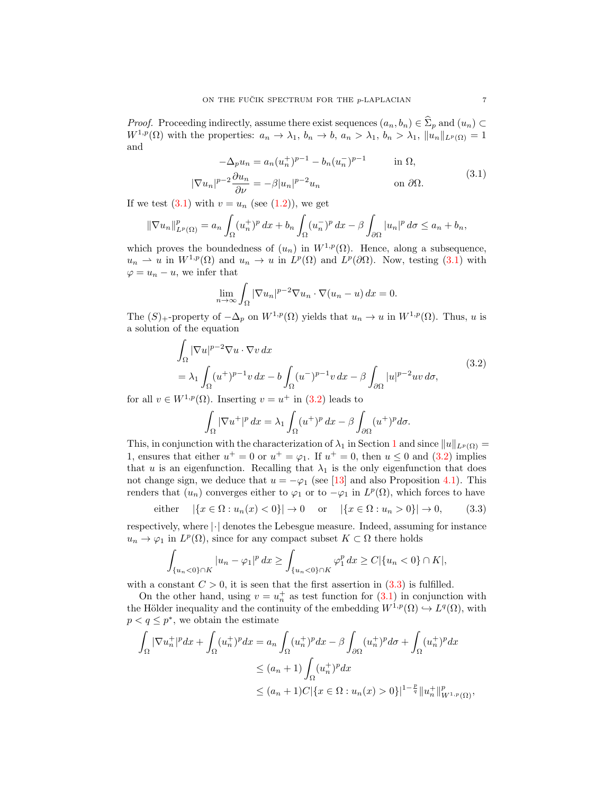*Proof.* Proceeding indirectly, assume there exist sequences  $(a_n, b_n) \in \hat{\Sigma}_p$  and  $(u_n) \subset$  $W^{1,p}(\Omega)$  with the properties:  $a_n \to \lambda_1$ ,  $b_n \to b$ ,  $a_n > \lambda_1$ ,  $b_n > \lambda_1$ ,  $||u_n||_{L^p(\Omega)} = 1$ and

<span id="page-6-0"></span>
$$
-\Delta_p u_n = a_n (u_n^+)^{p-1} - b_n (u_n^-)^{p-1} \quad \text{in } \Omega,
$$
  

$$
|\nabla u_n|^{p-2} \frac{\partial u_n}{\partial \nu} = -\beta |u_n|^{p-2} u_n \quad \text{on } \partial \Omega.
$$
 (3.1)

If we test  $(3.1)$  with  $v = u_n$  (see  $(1.2)$ ), we get

$$
\|\nabla u_n\|_{L^p(\Omega)}^p = a_n \int_{\Omega} (u_n^+)^p dx + b_n \int_{\Omega} (u_n^-)^p dx - \beta \int_{\partial\Omega} |u_n|^p d\sigma \le a_n + b_n,
$$

which proves the boundedness of  $(u_n)$  in  $W^{1,p}(\Omega)$ . Hence, along a subsequence,  $u_n \rightharpoonup u$  in  $W^{1,p}(\Omega)$  and  $u_n \to u$  in  $L^p(\Omega)$  and  $L^p(\partial\Omega)$ . Now, testing [\(3.1\)](#page-6-0) with  $\varphi = u_n - u$ , we infer that

<span id="page-6-1"></span>
$$
\lim_{n \to \infty} \int_{\Omega} |\nabla u_n|^{p-2} \nabla u_n \cdot \nabla (u_n - u) \, dx = 0.
$$

The  $(S)$ <sub>+</sub>-property of  $-\Delta_p$  on  $W^{1,p}(\Omega)$  yields that  $u_n \to u$  in  $W^{1,p}(\Omega)$ . Thus, u is a solution of the equation

$$
\int_{\Omega} |\nabla u|^{p-2} \nabla u \cdot \nabla v \, dx
$$
\n
$$
= \lambda_1 \int_{\Omega} (u^+)^{p-1} v \, dx - b \int_{\Omega} (u^-)^{p-1} v \, dx - \beta \int_{\partial \Omega} |u|^{p-2} u v \, d\sigma,
$$
\n(3.2)

for all  $v \in W^{1,p}(\Omega)$ . Inserting  $v = u^+$  in [\(3.2\)](#page-6-1) leads to

<span id="page-6-2"></span>
$$
\int_{\Omega} |\nabla u^+|^p \, dx = \lambda_1 \int_{\Omega} (u^+)^p \, dx - \beta \int_{\partial \Omega} (u^+)^p \, d\sigma.
$$

This, in conjunction with the characterization of  $\lambda_1$  $\lambda_1$  in Section 1 and since  $||u||_{L^p(\Omega)} =$ 1, ensures that either  $u^+ = 0$  or  $u^+ = \varphi_1$ . If  $u^+ = 0$ , then  $u \le 0$  and [\(3.2\)](#page-6-1) implies that u is an eigenfunction. Recalling that  $\lambda_1$  is the only eigenfunction that does not change sign, we deduce that  $u = -\varphi_1$  (see [\[13\]](#page-13-0) and also Proposition [4.1\)](#page-9-0). This renders that  $(u_n)$  converges either to  $\varphi_1$  or to  $-\varphi_1$  in  $L^p(\Omega)$ , which forces to have

either 
$$
|\{x \in \Omega : u_n(x) < 0\}| \to 0
$$
 or  $|\{x \in \Omega : u_n > 0\}| \to 0,$  (3.3)

respectively, where  $\lvert \cdot \rvert$  denotes the Lebesgue measure. Indeed, assuming for instance  $u_n \to \varphi_1$  in  $L^p(\Omega)$ , since for any compact subset  $K \subset \Omega$  there holds

$$
\int_{\{u_n < 0\} \cap K} |u_n - \varphi_1|^p \, dx \ge \int_{\{u_n < 0\} \cap K} \varphi_1^p \, dx \ge C |\{u_n < 0\} \cap K|,
$$

with a constant  $C > 0$ , it is seen that the first assertion in [\(3.3\)](#page-6-2) is fulfilled.

On the other hand, using  $v = u_n^+$  as test function for  $(3.1)$  in conjunction with the Hölder inequality and the continuity of the embedding  $W^{1,p}(\Omega) \hookrightarrow L^q(\Omega)$ , with  $p < q \leq p^*$ , we obtain the estimate

$$
\int_{\Omega} |\nabla u_n^+|^p dx + \int_{\Omega} (u_n^+)^p dx = a_n \int_{\Omega} (u_n^+)^p dx - \beta \int_{\partial \Omega} (u_n^+)^p d\sigma + \int_{\Omega} (u_n^+)^p dx
$$
  
\n
$$
\leq (a_n + 1) \int_{\Omega} (u_n^+)^p dx
$$
  
\n
$$
\leq (a_n + 1) C |\{x \in \Omega : u_n(x) > 0\}|^{1 - \frac{p}{q}} ||u_n^+||_{W^{1,p}(\Omega)}^p,
$$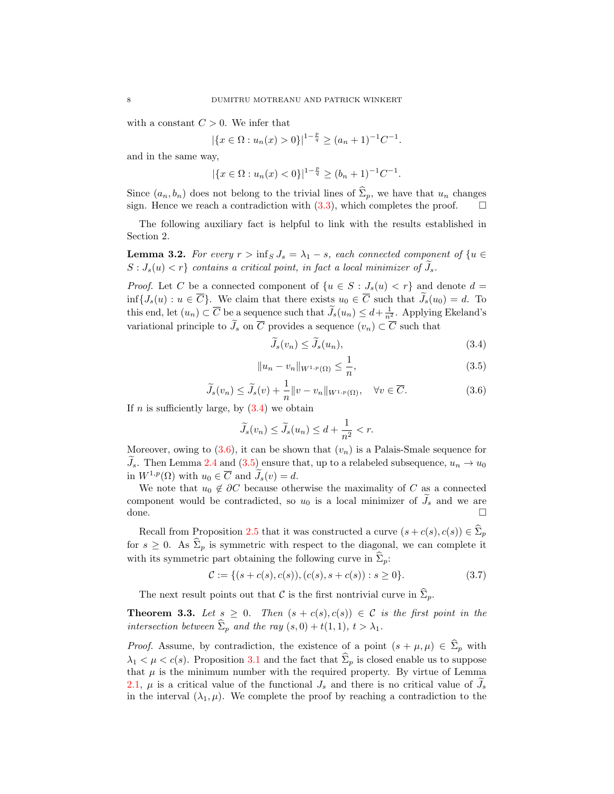with a constant  $C > 0$ . We infer that

$$
|\{x \in \Omega : u_n(x) > 0\}|^{1-\frac{p}{q}} \ge (a_n + 1)^{-1}C^{-1}.
$$

and in the same way,

$$
|\{x \in \Omega : u_n(x) < 0\}|^{1 - \frac{p}{q}} \ge (b_n + 1)^{-1} C^{-1}.
$$

Since  $(a_n, b_n)$  does not belong to the trivial lines of  $\hat{\Sigma}_p$ , we have that  $u_n$  changes sign. Hence we reach a contradiction with  $(3.3)$ , which completes the proof.

The following auxiliary fact is helpful to link with the results established in Section 2.

<span id="page-7-3"></span>**Lemma 3.2.** For every  $r > \inf_S J_s = \lambda_1 - s$ , each connected component of  $\{u \in$  $S: J_s(u) < r$  contains a critical point, in fact a local minimizer of  $J_s$ .

*Proof.* Let C be a connected component of  $\{u \in S : J_s(u) < r\}$  and denote  $d =$  $\inf\{J_s(u): u \in \overline{C}\}\.$  We claim that there exists  $u_0 \in \overline{C}$  such that  $\widetilde{J}_s(u_0) = d$ . To this end, let  $(u_n) \subset \overline{C}$  be a sequence such that  $\widetilde{J}_s(u_n) \leq d + \frac{1}{n^2}$ . Applying Ekeland's variational principle to  $\widetilde{J}_s$  on  $\overline{C}$  provides a sequence  $(v_n) \subset \overline{C}$  such that

<span id="page-7-0"></span>
$$
\widetilde{J}_s(v_n) \le \widetilde{J}_s(u_n),\tag{3.4}
$$

<span id="page-7-2"></span>
$$
||u_n - v_n||_{W^{1,p}(\Omega)} \le \frac{1}{n},
$$
\n(3.5)

<span id="page-7-1"></span>
$$
\widetilde{J}_s(v_n) \le \widetilde{J}_s(v) + \frac{1}{n} ||v - v_n||_{W^{1,p}(\Omega)}, \quad \forall v \in \overline{C}.
$$
\n(3.6)

If  $n$  is sufficiently large, by  $(3.4)$  we obtain

$$
\widetilde{J}_s(v_n) \le \widetilde{J}_s(u_n) \le d + \frac{1}{n^2} < r.
$$

Moreover, owing to  $(3.6)$ , it can be shown that  $(v_n)$  is a Palais-Smale sequence for  $\widetilde{J}_s$ . Then Lemma [2.4](#page-4-2) and [\(3.5\)](#page-7-2) ensure that, up to a relabeled subsequence,  $u_n \to u_0$ in  $W^{1,p}(\Omega)$  with  $u_0 \in \overline{C}$  and  $\widetilde{J}_s(v) = d$ .

We note that  $u_0 \notin \partial C$  because otherwise the maximality of C as a connected component would be contradicted, so  $u_0$  is a local minimizer of  $\overline{J}_s$  and we are done. done. □

Recall from Proposition [2.5](#page-5-1) that it was constructed a curve  $(s + c(s), c(s)) \in \Sigma_p$ for  $s \geq 0$ . As  $\widehat{\Sigma}_p$  is symmetric with respect to the diagonal, we can complete it with its symmetric part obtaining the following curve in  $\Sigma_p$ .

<span id="page-7-5"></span>
$$
\mathcal{C} := \{ (s + c(s), c(s)), (c(s), s + c(s)) : s \ge 0 \}.
$$
\n(3.7)

The next result points out that C is the first nontrivial curve in  $\hat{\Sigma}_p$ .

<span id="page-7-4"></span>**Theorem 3.3.** Let  $s \geq 0$ . Then  $(s + c(s), c(s)) \in C$  is the first point in the intersection between  $\widehat{\Sigma}_p$  and the ray  $(s, 0) + t(1, 1), t > \lambda_1$ .

*Proof.* Assume, by contradiction, the existence of a point  $(s + \mu, \mu) \in \hat{\Sigma}_p$  with  $\lambda_1 < \mu < c(s)$ . Proposition [3.1](#page-5-2) and the fact that  $\hat{\Sigma}_p$  is closed enable us to suppose that  $\mu$  is the minimum number with the required property. By virtue of Lemma [2.1,](#page-3-1)  $\mu$  is a critical value of the functional  $J_s$  and there is no critical value of  $J_s$ in the interval  $(\lambda_1, \mu)$ . We complete the proof by reaching a contradiction to the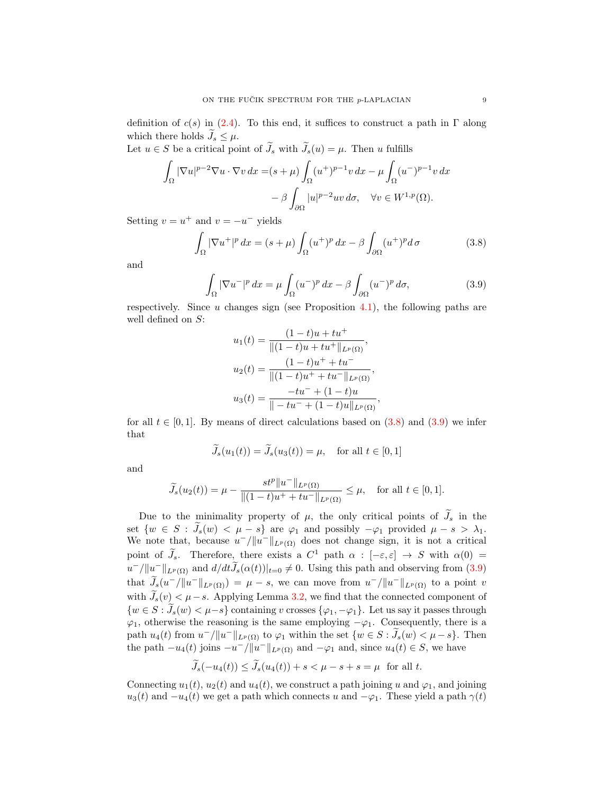definition of  $c(s)$  in [\(2.4\)](#page-5-0). To this end, it suffices to construct a path in  $\Gamma$  along which there holds  $\tilde{J}_s \leq \mu$ .

Let  $u \in S$  be a critical point of  $\widetilde{J}_s$  with  $\widetilde{J}_s(u) = \mu$ . Then u fulfills

$$
\int_{\Omega} |\nabla u|^{p-2} \nabla u \cdot \nabla v \, dx = (s + \mu) \int_{\Omega} (u^+)^{p-1} v \, dx - \mu \int_{\Omega} (u^-)^{p-1} v \, dx
$$

$$
- \beta \int_{\partial \Omega} |u|^{p-2} u v \, d\sigma, \quad \forall v \in W^{1,p}(\Omega).
$$

Setting  $v = u^+$  and  $v = -u^-$  yields

$$
\int_{\Omega} |\nabla u^+|^p dx = (s + \mu) \int_{\Omega} (u^+)^p dx - \beta \int_{\partial \Omega} (u^+)^p d\sigma \tag{3.8}
$$

and

$$
\int_{\Omega} |\nabla u^{-}|^p dx = \mu \int_{\Omega} (u^{-})^p dx - \beta \int_{\partial \Omega} (u^{-})^p d\sigma,
$$
\n(3.9)

respectively. Since  $u$  changes sign (see Proposition [4.1\)](#page-9-0), the following paths are well defined on S:

<span id="page-8-1"></span><span id="page-8-0"></span>
$$
u_1(t) = \frac{(1-t)u + tu^{+}}{\|(1-t)u + tu^{+}\|_{L^{p}(\Omega)}},
$$
  
\n
$$
u_2(t) = \frac{(1-t)u^{+} + tu^{-}}{\|(1-t)u^{+} + tu^{-}\|_{L^{p}(\Omega)}},
$$
  
\n
$$
u_3(t) = \frac{-tu^{-} + (1-t)u^{-}}{\|(1-t)u^{-} + (1-t)u\|_{L^{p}(\Omega)}},
$$

for all  $t \in [0,1]$ . By means of direct calculations based on  $(3.8)$  and  $(3.9)$  we infer that

$$
\widetilde{J}_s(u_1(t)) = \widetilde{J}_s(u_3(t)) = \mu, \quad \text{for all } t \in [0, 1]
$$

and

$$
\widetilde{J}_s(u_2(t))=\mu-\dfrac{st^p\|u^-\|_{L^p(\Omega)}}{\|(1-t)u^++tu^-\|_{L^p(\Omega)}}\leq \mu,\quad \text{for all }t\in [0,1].
$$

sterne in der der der der antikelse in der der antikelse in der antikelse in der antikelse in der antikelse in<br>Statistikelse in der antikelse in der antikelse in der antikelse in der antikelse in der antikelse in der anti

Due to the minimality property of  $\mu$ , the only critical points of  $\tilde{J}_s$  in the set  $\{w \in S : \widetilde{J}_s(w) < \mu - s\}$  are  $\varphi_1$  and possibly  $-\varphi_1$  provided  $\mu - s > \lambda_1$ . We note that, because  $u^{-}/||u^{-}||_{L^{p}(\Omega)}$  does not change sign, it is not a critical point of  $J_s$ . Therefore, there exists a  $C^1$  path  $\alpha : [-\varepsilon, \varepsilon] \to S$  with  $\alpha(0) =$  $u^-/\|u^-\|_{L^p(\Omega)}$  and  $d/dt\tilde{J}_s(\alpha(t))|_{t=0}\neq 0$ . Using this path and observing from [\(3.9\)](#page-8-1) that  $\tilde{J}_s(u^-/||u^-||_{L^p(\Omega)}) = \mu - s$ , we can move from  $u^-/||u^-||_{L^p(\Omega)}$  to a point v with  $\tilde{J}_s(v) < \mu - s$ . Applying Lemma [3.2,](#page-7-3) we find that the connected component of  ${w \in S : \tilde{J}_s(w) < \mu - s}$  containing v crosses  ${\varphi_1, -\varphi_1}$ . Let us say it passes through  $\varphi_1$ , otherwise the reasoning is the same employing  $-\varphi_1$ . Consequently, there is a path  $u_4(t)$  from  $u^-/||u^-||_{L^p(\Omega)}$  to  $\varphi_1$  within the set  $\{w \in S : \widetilde{J}_s(w) \leq \mu - s\}$ . Then the path  $-u_4(t)$  joins  $-u^-/\|u^-\|_{L^p(\Omega)}$  and  $-\varphi_1$  and, since  $u_4(t) \in S$ , we have

$$
J_s(-u_4(t)) \le J_s(u_4(t)) + s < \mu - s + s = \mu \quad \text{for all } t.
$$

Connecting  $u_1(t)$ ,  $u_2(t)$  and  $u_4(t)$ , we construct a path joining u and  $\varphi_1$ , and joining  $u_3(t)$  and  $-u_4(t)$  we get a path which connects u and  $-\varphi_1$ . These yield a path  $\gamma(t)$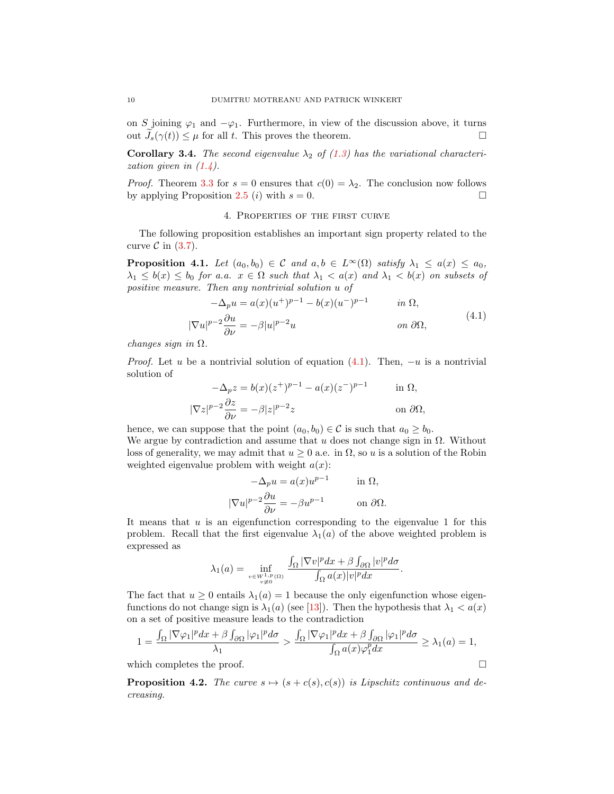on S joining  $\varphi_1$  and  $-\varphi_1$ . Furthermore, in view of the discussion above, it turns out  $J_s(\gamma(t)) \leq \mu$  for all t. This proves the theorem.

**Corollary 3.4.** The second eigenvalue  $\lambda_2$  of [\(1.3\)](#page-0-1) has the variational characterization given in  $(1.4)$ .

*Proof.* Theorem [3.3](#page-7-4) for  $s = 0$  ensures that  $c(0) = \lambda_2$ . The conclusion now follows by applying Proposition [2.5](#page-5-1) (*i*) with  $s = 0$ .

#### <span id="page-9-1"></span>4. Properties of the first curve

The following proposition establishes an important sign property related to the curve  $\mathcal C$  in [\(3.7\)](#page-7-5).

<span id="page-9-0"></span>**Proposition 4.1.** Let  $(a_0, b_0) \in C$  and  $a, b \in L^{\infty}(\Omega)$  satisfy  $\lambda_1 \leq a(x) \leq a_0$ ,  $\lambda_1 \leq b(x) \leq b_0$  for a.a.  $x \in \Omega$  such that  $\lambda_1 < a(x)$  and  $\lambda_1 < b(x)$  on subsets of positive measure. Then any nontrivial solution u of

$$
-\Delta_p u = a(x)(u^+)^{p-1} - b(x)(u^-)^{p-1} \qquad in \ \Omega,
$$
  

$$
|\nabla u|^{p-2} \frac{\partial u}{\partial \nu} = -\beta |u|^{p-2} u \qquad on \ \partial \Omega,
$$
 (4.1)

changes sign in  $\Omega$ .

*Proof.* Let u be a nontrivial solution of equation  $(4.1)$ . Then,  $-u$  is a nontrivial solution of

$$
-\Delta_p z = b(x)(z^+)^{p-1} - a(x)(z^-)^{p-1} \quad \text{in } \Omega,
$$
  

$$
|\nabla z|^{p-2} \frac{\partial z}{\partial \nu} = -\beta |z|^{p-2} z \quad \text{on } \partial \Omega,
$$

hence, we can suppose that the point  $(a_0, b_0) \in \mathcal{C}$  is such that  $a_0 \ge b_0$ . We argue by contradiction and assume that u does not change sign in  $\Omega$ . Without loss of generality, we may admit that  $u \geq 0$  a.e. in  $\Omega$ , so u is a solution of the Robin weighted eigenvalue problem with weight  $a(x)$ :

$$
-\Delta_p u = a(x)u^{p-1} \quad \text{in } \Omega,
$$
  

$$
|\nabla u|^{p-2}\frac{\partial u}{\partial \nu} = -\beta u^{p-1} \quad \text{on } \partial \Omega.
$$

It means that  $u$  is an eigenfunction corresponding to the eigenvalue 1 for this problem. Recall that the first eigenvalue  $\lambda_1(a)$  of the above weighted problem is expressed as

$$
\lambda_1(a) = \inf_{\substack{v \in W^{1,p}(\Omega) \\ v \neq 0}} \frac{\int_{\Omega} |\nabla v|^p dx + \beta \int_{\partial \Omega} |v|^p d\sigma}{\int_{\Omega} a(x)|v|^p dx}.
$$

The fact that  $u \geq 0$  entails  $\lambda_1(a) = 1$  because the only eigenfunction whose eigenfunctions do not change sign is  $\lambda_1(a)$  (see [\[13\]](#page-13-0)). Then the hypothesis that  $\lambda_1 < a(x)$ on a set of positive measure leads to the contradiction

$$
1 = \frac{\int_{\Omega} |\nabla \varphi_1|^p dx + \beta \int_{\partial \Omega} |\varphi_1|^p d\sigma}{\lambda_1} > \frac{\int_{\Omega} |\nabla \varphi_1|^p dx + \beta \int_{\partial \Omega} |\varphi_1|^p d\sigma}{\int_{\Omega} a(x) \varphi_1^p dx} \ge \lambda_1(a) = 1,
$$

which completes the proof.  $\Box$ 

<span id="page-9-2"></span>**Proposition 4.2.** The curve  $s \mapsto (s + c(s), c(s))$  is Lipschitz continuous and decreasing.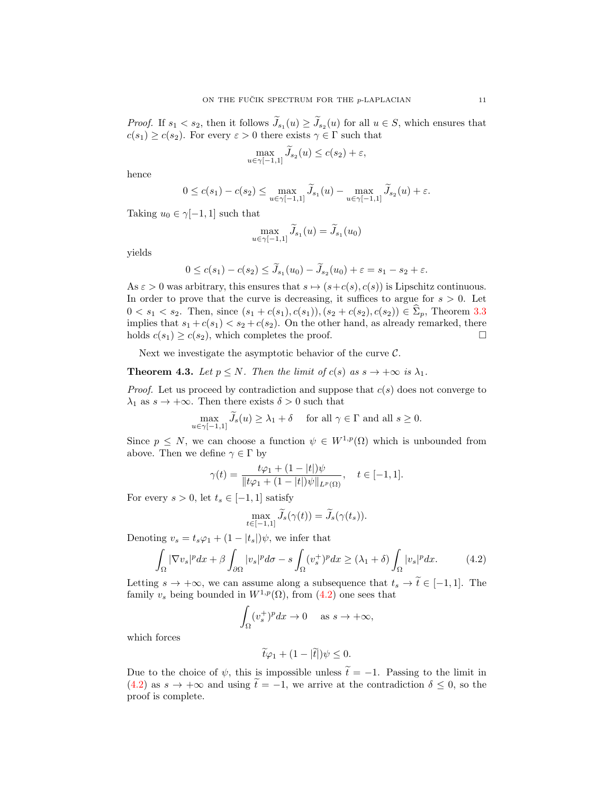*Proof.* If  $s_1 < s_2$ , then it follows  $J_{s_1}(u) \geq J_{s_2}(u)$  for all  $u \in S$ , which ensures that  $c(s_1) \geq c(s_2)$ . For every  $\varepsilon > 0$  there exists  $\gamma \in \Gamma$  such that

$$
\max_{u \in \gamma[-1,1]} \widetilde{J}_{s_2}(u) \le c(s_2) + \varepsilon,
$$

hence

$$
0 \leq c(s_1) - c(s_2) \leq \max_{u \in \gamma[-1,1]} \widetilde{J}_{s_1}(u) - \max_{u \in \gamma[-1,1]} \widetilde{J}_{s_2}(u) + \varepsilon.
$$

Taking  $u_0 \in \gamma[-1,1]$  such that

$$
\max_{u \in \gamma[-1,1]} \widetilde{J}_{s_1}(u) = \widetilde{J}_{s_1}(u_0)
$$

yields

$$
0 \le c(s_1) - c(s_2) \le \tilde{J}_{s_1}(u_0) - \tilde{J}_{s_2}(u_0) + \varepsilon = s_1 - s_2 + \varepsilon.
$$

As  $\varepsilon > 0$  was arbitrary, this ensures that  $s \mapsto (s+c(s), c(s))$  is Lipschitz continuous. In order to prove that the curve is decreasing, it suffices to argue for  $s > 0$ . Let  $0 < s_1 < s_2$ . Then, since  $(s_1 + c(s_1), c(s_1)), (s_2 + c(s_2), c(s_2)) \in \hat{\Sigma}_p$ , Theorem [3.3](#page-7-4) implies that  $s_1 + c(s_1) < s_2 + c(s_2)$ . On the other hand, as already remarked, there holds  $c(s_1) \geq c(s_2)$ , which completes the proof.

Next we investigate the asymptotic behavior of the curve  $\mathcal{C}$ .

<span id="page-10-1"></span>**Theorem 4.3.** Let  $p \leq N$ . Then the limit of  $c(s)$  as  $s \to +\infty$  is  $\lambda_1$ .

*Proof.* Let us proceed by contradiction and suppose that  $c(s)$  does not converge to  $\lambda_1$  as  $s \to +\infty$ . Then there exists  $\delta > 0$  such that

$$
\max_{u \in \gamma[-1,1]} \widetilde{J}_s(u) \ge \lambda_1 + \delta \quad \text{ for all } \gamma \in \Gamma \text{ and all } s \ge 0.
$$

Since  $p \leq N$ , we can choose a function  $\psi \in W^{1,p}(\Omega)$  which is unbounded from above. Then we define  $\gamma \in \Gamma$  by

$$
\gamma(t) = \frac{t\varphi_1 + (1 - |t|)\psi}{\|t\varphi_1 + (1 - |t|)\psi\|_{L^p(\Omega)}}, \quad t \in [-1, 1].
$$

For every  $s > 0$ , let  $t_s \in [-1, 1]$  satisfy

<span id="page-10-0"></span>
$$
\max_{t \in [-1,1]} \widetilde{J}_s(\gamma(t)) = \widetilde{J}_s(\gamma(t_s)).
$$

Denoting  $v_s = t_s \varphi_1 + (1 - |t_s|) \psi$ , we infer that

$$
\int_{\Omega} |\nabla v_s|^p dx + \beta \int_{\partial \Omega} |v_s|^p d\sigma - s \int_{\Omega} (v_s^+)^p dx \ge (\lambda_1 + \delta) \int_{\Omega} |v_s|^p dx. \tag{4.2}
$$

Letting  $s \to +\infty$ , we can assume along a subsequence that  $t_s \to t \in [-1,1]$ . The family  $v_s$  being bounded in  $W^{1,p}(\Omega)$ , from  $(4.2)$  one sees that

$$
\int_{\Omega} (v_s^+)^p dx \to 0 \quad \text{ as } s \to +\infty,
$$

which forces

$$
\widetilde{t}\varphi_1 + (1 - |\widetilde{t}|)\psi \leq 0.
$$

Due to the choice of  $\psi$ , this is impossible unless  $\tilde{t} = -1$ . Passing to the limit in [\(4.2\)](#page-10-0) as  $s \to +\infty$  and using  $\tilde{t} = -1$ , we arrive at the contradiction  $\delta \leq 0$ , so the proof is complete.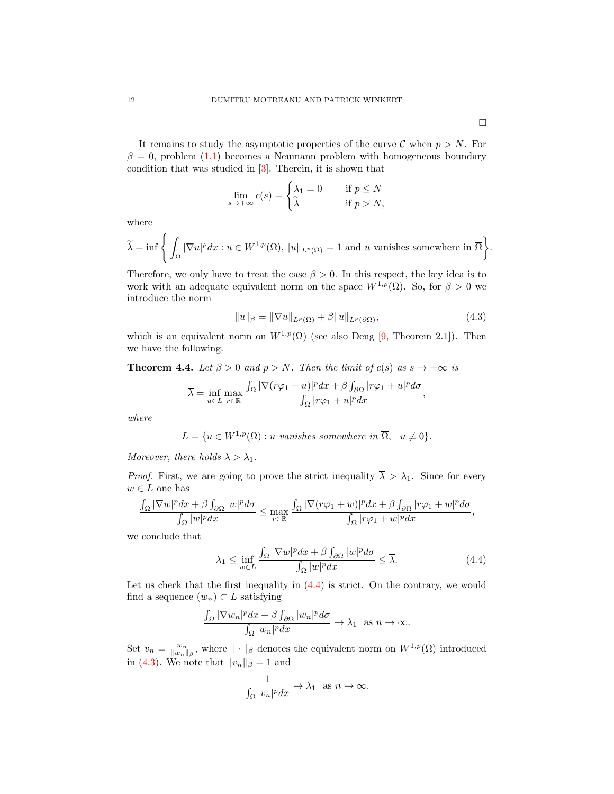It remains to study the asymptotic properties of the curve  $\mathcal C$  when  $p > N$ . For  $\beta = 0$ , problem [\(1.1\)](#page-0-0) becomes a Neumann problem with homogeneous boundary condition that was studied in [\[3\]](#page-13-13). Therein, it is shown that

$$
\lim_{s \to +\infty} c(s) = \begin{cases} \lambda_1 = 0 & \text{if } p \le N \\ \tilde{\lambda} & \text{if } p > N, \end{cases}
$$

where

$$
\widetilde{\lambda} = \inf \Bigg\{ \int_{\Omega} |\nabla u|^p dx : u \in W^{1,p}(\Omega), ||u||_{L^p(\Omega)} = 1 \text{ and } u \text{ vanishes somewhere in } \overline{\Omega} \Bigg\}.
$$

Therefore, we only have to treat the case  $\beta > 0$ . In this respect, the key idea is to work with an adequate equivalent norm on the space  $W^{1,p}(\Omega)$ . So, for  $\beta > 0$  we introduce the norm

<span id="page-11-1"></span>
$$
||u||_{\beta} = ||\nabla u||_{L^{p}(\Omega)} + \beta ||u||_{L^{p}(\partial\Omega)},
$$
\n(4.3)

which is an equivalent norm on  $W^{1,p}(\Omega)$  (see also Deng [\[9,](#page-13-17) Theorem 2.1]). Then we have the following.

**Theorem 4.4.** Let  $\beta > 0$  and  $p > N$ . Then the limit of  $c(s)$  as  $s \to +\infty$  is

$$
\overline{\lambda} = \inf_{u \in L} \max_{r \in \mathbb{R}} \frac{\int_{\Omega} |\nabla(r\varphi_1 + u)|^p dx + \beta \int_{\partial \Omega} |r\varphi_1 + u|^p d\sigma}{\int_{\Omega} |r\varphi_1 + u|^p dx},
$$

where

$$
L = \{ u \in W^{1,p}(\Omega) : u \text{ vanishes somewhere in } \overline{\Omega}, u \not\equiv 0 \}.
$$

Moreover, there holds  $\overline{\lambda} > \lambda_1$ .

*Proof.* First, we are going to prove the strict inequality  $\overline{\lambda} > \lambda_1$ . Since for every  $w \in L$  one has

$$
\frac{\int_\Omega|\nabla w|^pdx+\beta\int_{\partial\Omega}|w|^pd\sigma}{\int_\Omega|w|^pdx}\leq \max_{r\in\mathbb{R}}\frac{\int_\Omega|\nabla(r\varphi_1+w)|^pdx+\beta\int_{\partial\Omega}|r\varphi_1+w|^p d\sigma}{\int_\Omega|r\varphi_1+w|^pdx},
$$

we conclude that

<span id="page-11-0"></span>
$$
\lambda_1 \le \inf_{w \in L} \frac{\int_{\Omega} |\nabla w|^p dx + \beta \int_{\partial \Omega} |w|^p d\sigma}{\int_{\Omega} |w|^p dx} \le \overline{\lambda}.\tag{4.4}
$$

Let us check that the first inequality in  $(4.4)$  is strict. On the contrary, we would find a sequence  $(w_n) \subset L$  satisfying

$$
\frac{\int_{\Omega} |\nabla w_n|^p dx + \beta \int_{\partial \Omega} |w_n|^p d\sigma}{\int_{\Omega} |w_n|^p dx} \to \lambda_1 \text{ as } n \to \infty.
$$

Set  $v_n = \frac{w_n}{\|w_n\|_{\beta}}$ , where  $\|\cdot\|_{\beta}$  denotes the equivalent norm on  $W^{1,p}(\Omega)$  introduced in [\(4.3\)](#page-11-1). We note that  $||v_n||_{\beta} = 1$  and

$$
\frac{1}{\int_{\Omega}|v_n|^p dx} \to \lambda_1 \text{ as } n \to \infty.
$$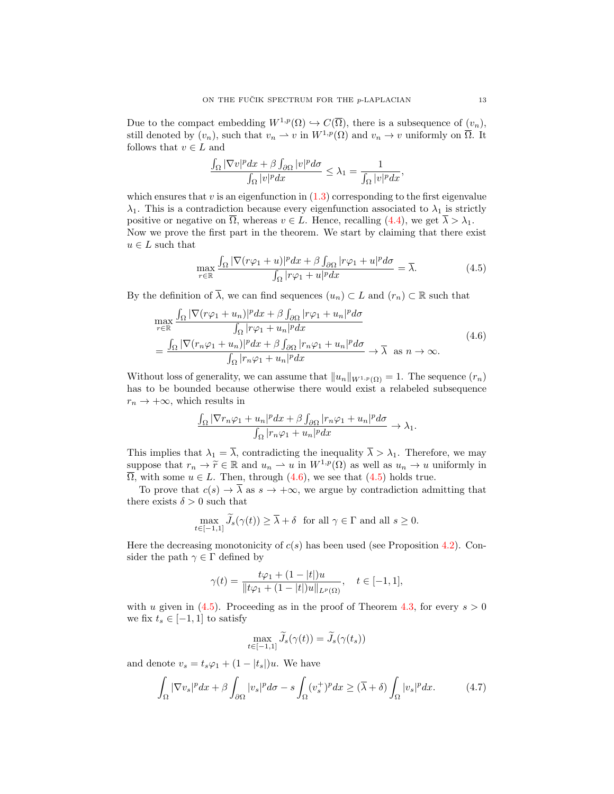Due to the compact embedding  $W^{1,p}(\Omega) \hookrightarrow C(\overline{\Omega})$ , there is a subsequence of  $(v_n)$ , still denoted by  $(v_n)$ , such that  $v_n \rightharpoonup v$  in  $W^{1,p}(\Omega)$  and  $v_n \to v$  uniformly on  $\overline{\Omega}$ . It follows that  $v \in L$  and

$$
\frac{\int_{\Omega}|\nabla v|^pdx+\beta\int_{\partial\Omega}|v|^p d\sigma}{\int_{\Omega}|v|^pdx}\leq \lambda_1=\frac{1}{\int_{\Omega}|v|^pdx},
$$

which ensures that  $v$  is an eigenfunction in  $(1.3)$  corresponding to the first eigenvalue  $\lambda_1$ . This is a contradiction because every eigenfunction associated to  $\lambda_1$  is strictly positive or negative on  $\overline{\Omega}$ , whereas  $v \in L$ . Hence, recalling [\(4.4\)](#page-11-0), we get  $\overline{\lambda} > \lambda_1$ . Now we prove the first part in the theorem. We start by claiming that there exist  $u \in L$  such that

<span id="page-12-1"></span><span id="page-12-0"></span>
$$
\max_{r \in \mathbb{R}} \frac{\int_{\Omega} |\nabla (r\varphi_1 + u)|^p dx + \beta \int_{\partial \Omega} |r\varphi_1 + u|^p d\sigma}{\int_{\Omega} |r\varphi_1 + u|^p dx} = \overline{\lambda}.
$$
 (4.5)

By the definition of  $\overline{\lambda}$ , we can find sequences  $(u_n) \subset L$  and  $(r_n) \subset \mathbb{R}$  such that

$$
\max_{r \in \mathbb{R}} \frac{\int_{\Omega} |\nabla (r\varphi_1 + u_n)|^p dx + \beta \int_{\partial \Omega} |r\varphi_1 + u_n|^p d\sigma}{\int_{\Omega} |r\varphi_1 + u_n|^p dx} \n= \frac{\int_{\Omega} |\nabla (r_n \varphi_1 + u_n)|^p dx + \beta \int_{\partial \Omega} |r_n \varphi_1 + u_n|^p d\sigma}{\int_{\Omega} |r_n \varphi_1 + u_n|^p dx} \to \overline{\lambda} \text{ as } n \to \infty.
$$
\n(4.6)

Without loss of generality, we can assume that  $||u_n||_{W^{1,p}(\Omega)} = 1$ . The sequence  $(r_n)$ has to be bounded because otherwise there would exist a relabeled subsequence  $r_n \to +\infty$ , which results in

$$
\frac{\int_{\Omega} |\nabla r_n \varphi_1 + u_n|^p dx + \beta \int_{\partial \Omega} |r_n \varphi_1 + u_n|^p d\sigma}{\int_{\Omega} |r_n \varphi_1 + u_n|^p dx} \to \lambda_1.
$$

This implies that  $\lambda_1 = \overline{\lambda}$ , contradicting the inequality  $\overline{\lambda} > \lambda_1$ . Therefore, we may suppose that  $r_n \to \tilde{r} \in \mathbb{R}$  and  $u_n \to u$  in  $W^{1,p}(\Omega)$  as well as  $u_n \to u$  uniformly in  $\overline{\Omega}$ , with some  $u \in L$ . Then, through  $(4.6)$ , we see that  $(4.5)$  holds true.

To prove that  $c(s) \to \overline{\lambda}$  as  $s \to +\infty$ , we argue by contradiction admitting that there exists  $\delta > 0$  such that

$$
\max_{t \in [-1,1]} \widetilde{J}_s(\gamma(t)) \ge \overline{\lambda} + \delta \quad \text{for all } \gamma \in \Gamma \text{ and all } s \ge 0.
$$

Here the decreasing monotonicity of  $c(s)$  has been used (see Proposition [4.2\)](#page-9-2). Consider the path  $\gamma \in \Gamma$  defined by

$$
\gamma(t) = \frac{t\varphi_1 + (1 - |t|)u}{\|t\varphi_1 + (1 - |t|)u\|_{L^p(\Omega)}}, \quad t \in [-1, 1],
$$

with u given in [\(4.5\)](#page-12-1). Proceeding as in the proof of Theorem [4.3,](#page-10-1) for every  $s > 0$ we fix  $t_s \in [-1, 1]$  to satisfy

<span id="page-12-2"></span>
$$
\max_{t \in [-1,1]} \widetilde{J}_s(\gamma(t)) = \widetilde{J}_s(\gamma(t_s))
$$

and denote  $v_s = t_s \varphi_1 + (1 - |t_s|)u$ . We have

$$
\int_{\Omega} |\nabla v_s|^p dx + \beta \int_{\partial \Omega} |v_s|^p d\sigma - s \int_{\Omega} (v_s^+)^p dx \ge (\overline{\lambda} + \delta) \int_{\Omega} |v_s|^p dx. \tag{4.7}
$$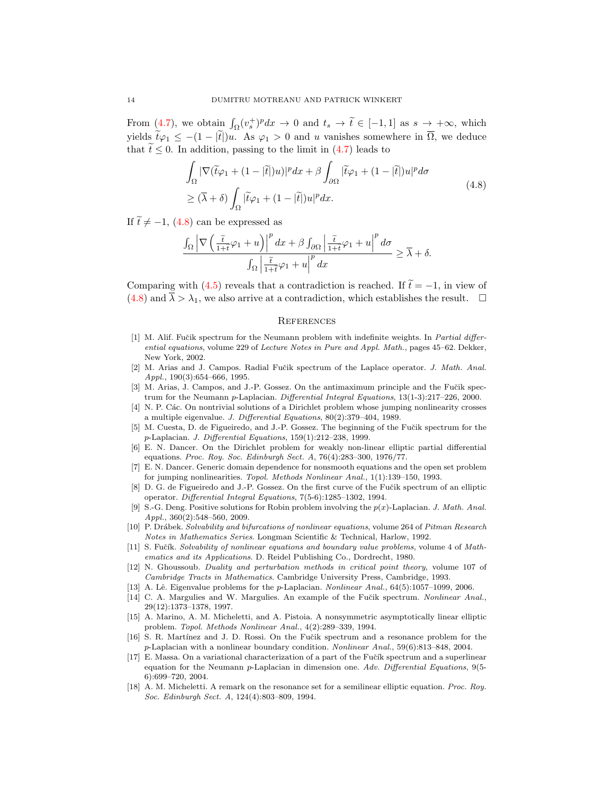From [\(4.7\)](#page-12-2), we obtain  $\int_{\Omega} (v_s^+)^p dx \to 0$  and  $t_s \to \tilde{t} \in [-1,1]$  as  $s \to +\infty$ , which yields  $\tilde{t}\varphi_1 \leq -(1 - |\tilde{t}|)u$ . As  $\varphi_1 > 0$  and u vanishes somewhere in  $\overline{\Omega}$ , we deduce that  $\tilde{t} \leq 0$ . In addition, passing to the limit in [\(4.7\)](#page-12-2) leads to

$$
\int_{\Omega} |\nabla(\tilde{t}\varphi_1 + (1 - |\tilde{t}|)u)|^p dx + \beta \int_{\partial\Omega} |\tilde{t}\varphi_1 + (1 - |\tilde{t}|)u|^p d\sigma
$$
\n
$$
\geq (\overline{\lambda} + \delta) \int_{\Omega} |\tilde{t}\varphi_1 + (1 - |\tilde{t}|)u|^p dx.
$$
\n(4.8)

If  $\tilde{t} \neq -1$ , [\(4.8\)](#page-13-18) can be expressed as

$$
\frac{\int_{\Omega} \left| \nabla \left( \frac{\tilde{t}}{1+\tilde{t}} \varphi_1 + u \right) \right|^p dx + \beta \int_{\partial \Omega} \left| \frac{\tilde{t}}{1+\tilde{t}} \varphi_1 + u \right|^p d\sigma}{\int_{\Omega} \left| \frac{\tilde{t}}{1+\tilde{t}} \varphi_1 + u \right|^p dx} \geq \overline{\lambda} + \delta.
$$

Comparing with [\(4.5\)](#page-12-1) reveals that a contradiction is reached. If  $\tilde{t} = -1$ , in view of  $(4.8)$  and  $\overline{\lambda} > \lambda_1$ , we also arrive at a contradiction, which establishes the result.  $\Box$ 

#### <span id="page-13-18"></span>**REFERENCES**

- <span id="page-13-12"></span>[1] M. Alif. Fučik spectrum for the Neumann problem with indefinite weights. In Partial differential equations, volume 229 of Lecture Notes in Pure and Appl. Math., pages 45–62. Dekker, New York, 2002.
- <span id="page-13-2"></span>[2] M. Arias and J. Campos. Radial Fučik spectrum of the Laplace operator. J. Math. Anal. Appl., 190(3):654–666, 1995.
- <span id="page-13-13"></span>[3] M. Arias, J. Campos, and J.-P. Gossez. On the antimaximum principle and the Fučik spectrum for the Neumann p-Laplacian. Differential Integral Equations, 13(1-3):217–226, 2000.
- <span id="page-13-3"></span>[4] N. P. Các. On nontrivial solutions of a Dirichlet problem whose jumping nonlinearity crosses a multiple eigenvalue. J. Differential Equations, 80(2):379–404, 1989.
- <span id="page-13-11"></span>[5] M. Cuesta, D. de Figueiredo, and J.-P. Gossez. The beginning of the Fučik spectrum for the p-Laplacian. J. Differential Equations, 159(1):212–238, 1999.
- <span id="page-13-8"></span>[6] E. N. Dancer. On the Dirichlet problem for weakly non-linear elliptic partial differential equations. Proc. Roy. Soc. Edinburgh Sect. A, 76(4):283–300, 1976/77.
- <span id="page-13-4"></span>[7] E. N. Dancer. Generic domain dependence for nonsmooth equations and the open set problem for jumping nonlinearities. Topol. Methods Nonlinear Anal., 1(1):139–150, 1993.
- <span id="page-13-9"></span>[8] D. G. de Figueiredo and J.-P. Gossez. On the first curve of the Fučik spectrum of an elliptic operator. Differential Integral Equations, 7(5-6):1285–1302, 1994.
- <span id="page-13-17"></span>[9] S.-G. Deng. Positive solutions for Robin problem involving the  $p(x)$ -Laplacian. J. Math. Anal. Appl., 360(2):548–560, 2009.
- <span id="page-13-10"></span>[10] P. Drábek. Solvability and bifurcations of nonlinear equations, volume 264 of Pitman Research Notes in Mathematics Series. Longman Scientific & Technical, Harlow, 1992.
- <span id="page-13-1"></span>[11] S. Fučík. Solvability of nonlinear equations and boundary value problems, volume 4 of Mathematics and its Applications. D. Reidel Publishing Co., Dordrecht, 1980.
- <span id="page-13-16"></span>[12] N. Ghoussoub. Duality and perturbation methods in critical point theory, volume 107 of Cambridge Tracts in Mathematics. Cambridge University Press, Cambridge, 1993.
- <span id="page-13-0"></span>[13] A. Lê. Eigenvalue problems for the p-Laplacian. Nonlinear Anal., 64(5):1057-1099, 2006.
- <span id="page-13-5"></span>[14] C. A. Margulies and W. Margulies. An example of the Fučik spectrum. Nonlinear Anal., 29(12):1373–1378, 1997.
- <span id="page-13-6"></span>[15] A. Marino, A. M. Micheletti, and A. Pistoia. A nonsymmetric asymptotically linear elliptic problem. Topol. Methods Nonlinear Anal., 4(2):289–339, 1994.
- <span id="page-13-15"></span>[16] S. R. Martínez and J. D. Rossi. On the Fučik spectrum and a resonance problem for the p-Laplacian with a nonlinear boundary condition. Nonlinear Anal., 59(6):813–848, 2004.
- <span id="page-13-14"></span>[17] E. Massa. On a variational characterization of a part of the Fučík spectrum and a superlinear equation for the Neumann p-Laplacian in dimension one. Adv. Differential Equations, 9(5- 6):699–720, 2004.
- <span id="page-13-7"></span>[18] A. M. Micheletti. A remark on the resonance set for a semilinear elliptic equation. Proc. Roy. Soc. Edinburgh Sect. A, 124(4):803–809, 1994.